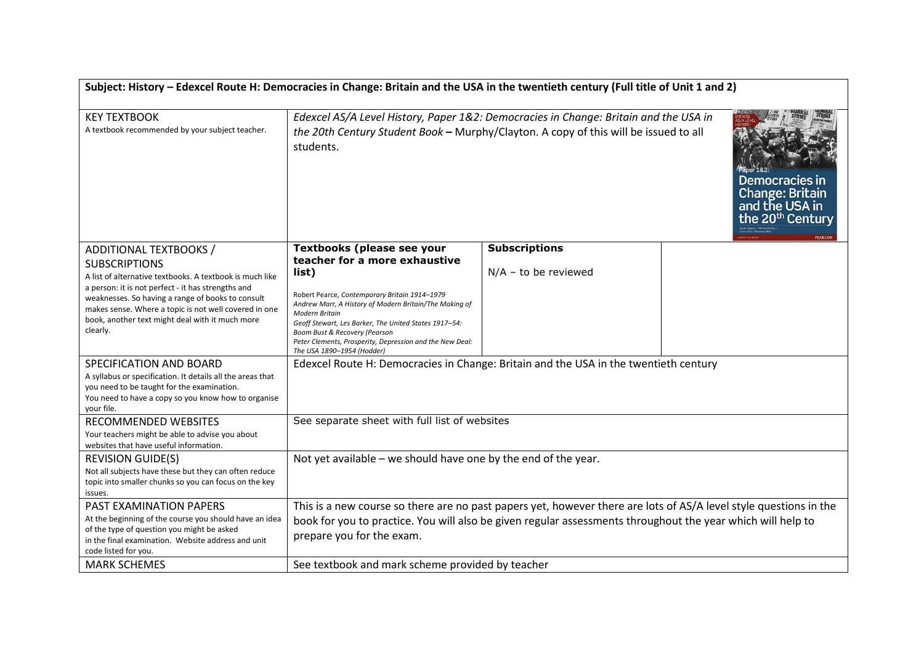| Subject: History - Edexcel Route H: Democracies in Change: Britain and the USA in the twentieth century (Full title of Unit 1 and 2)                                                                                                                                                                                                          |                                                                                                                                                                                                                                                                                                                                                                                                     |                                                |  |
|-----------------------------------------------------------------------------------------------------------------------------------------------------------------------------------------------------------------------------------------------------------------------------------------------------------------------------------------------|-----------------------------------------------------------------------------------------------------------------------------------------------------------------------------------------------------------------------------------------------------------------------------------------------------------------------------------------------------------------------------------------------------|------------------------------------------------|--|
| <b>KEY TEXTBOOK</b><br>A textbook recommended by your subject teacher.                                                                                                                                                                                                                                                                        | Edexcel AS/A Level History, Paper 1&2: Democracies in Change: Britain and the USA in<br>the 20th Century Student Book - Murphy/Clayton. A copy of this will be issued to all<br>students.<br>Democracies in<br><b>Change: Britain</b><br>and the USA in<br>the 20 <sup>th</sup> Century                                                                                                             |                                                |  |
| ADDITIONAL TEXTBOOKS /<br><b>SUBSCRIPTIONS</b><br>A list of alternative textbooks. A textbook is much like<br>a person: it is not perfect - it has strengths and<br>weaknesses. So having a range of books to consult<br>makes sense. Where a topic is not well covered in one<br>book, another text might deal with it much more<br>clearly. | <b>Textbooks (please see your</b><br>teacher for a more exhaustive<br>list)<br>Robert Pearce, Contemporary Britain 1914-1979<br>Andrew Marr, A History of Modern Britain/The Making of<br><b>Modern Britain</b><br>Geoff Stewart, Les Barker, The United States 1917-54:<br>Boom Bust & Recovery (Pearson<br>Peter Clements, Prosperity, Depression and the New Deal:<br>The USA 1890-1954 (Hodder) | <b>Subscriptions</b><br>$N/A$ – to be reviewed |  |
| SPECIFICATION AND BOARD<br>A syllabus or specification. It details all the areas that<br>you need to be taught for the examination.<br>You need to have a copy so you know how to organise<br>your file.                                                                                                                                      | Edexcel Route H: Democracies in Change: Britain and the USA in the twentieth century                                                                                                                                                                                                                                                                                                                |                                                |  |
| RECOMMENDED WEBSITES<br>Your teachers might be able to advise you about<br>websites that have useful information.                                                                                                                                                                                                                             | See separate sheet with full list of websites                                                                                                                                                                                                                                                                                                                                                       |                                                |  |
| <b>REVISION GUIDE(S)</b><br>Not all subjects have these but they can often reduce<br>topic into smaller chunks so you can focus on the key<br>issues.                                                                                                                                                                                         | Not yet available - we should have one by the end of the year.                                                                                                                                                                                                                                                                                                                                      |                                                |  |
| PAST EXAMINATION PAPERS<br>At the beginning of the course you should have an idea<br>of the type of question you might be asked<br>in the final examination. Website address and unit<br>code listed for you.                                                                                                                                 | This is a new course so there are no past papers yet, however there are lots of AS/A level style questions in the<br>book for you to practice. You will also be given regular assessments throughout the year which will help to<br>prepare you for the exam.                                                                                                                                       |                                                |  |
| <b>MARK SCHEMES</b>                                                                                                                                                                                                                                                                                                                           | See textbook and mark scheme provided by teacher                                                                                                                                                                                                                                                                                                                                                    |                                                |  |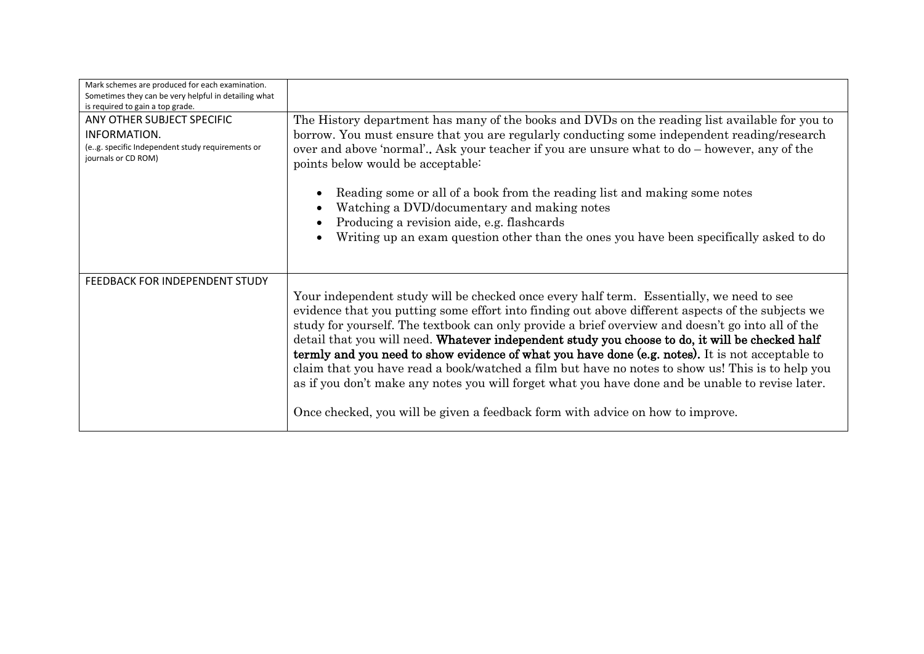| Mark schemes are produced for each examination.<br>Sometimes they can be very helpful in detailing what<br>is required to gain a top grade. |                                                                                                                                                                                                                                                                                                                                                                                                                                                                                                                                                                                                                                                                                                                   |  |
|---------------------------------------------------------------------------------------------------------------------------------------------|-------------------------------------------------------------------------------------------------------------------------------------------------------------------------------------------------------------------------------------------------------------------------------------------------------------------------------------------------------------------------------------------------------------------------------------------------------------------------------------------------------------------------------------------------------------------------------------------------------------------------------------------------------------------------------------------------------------------|--|
| ANY OTHER SUBJECT SPECIFIC<br>INFORMATION.<br>(e.g. specific Independent study requirements or<br>journals or CD ROM)                       | The History department has many of the books and DVDs on the reading list available for you to<br>borrow. You must ensure that you are regularly conducting some independent reading/research<br>over and above 'normal' Ask your teacher if you are unsure what to do – however, any of the<br>points below would be acceptable:<br>Reading some or all of a book from the reading list and making some notes                                                                                                                                                                                                                                                                                                    |  |
|                                                                                                                                             | $\bullet$<br>Watching a DVD/documentary and making notes<br>$\bullet$<br>Producing a revision aide, e.g. flashcards<br>$\bullet$                                                                                                                                                                                                                                                                                                                                                                                                                                                                                                                                                                                  |  |
|                                                                                                                                             | Writing up an exam question other than the ones you have been specifically asked to do<br>$\bullet$                                                                                                                                                                                                                                                                                                                                                                                                                                                                                                                                                                                                               |  |
| FEEDBACK FOR INDEPENDENT STUDY                                                                                                              | Your independent study will be checked once every half term. Essentially, we need to see<br>evidence that you putting some effort into finding out above different aspects of the subjects we<br>study for yourself. The textbook can only provide a brief overview and doesn't go into all of the<br>detail that you will need. Whatever independent study you choose to do, it will be checked half<br>termly and you need to show evidence of what you have done (e.g. notes). It is not acceptable to<br>claim that you have read a book/watched a film but have no notes to show us! This is to help you<br>as if you don't make any notes you will forget what you have done and be unable to revise later. |  |
|                                                                                                                                             | Once checked, you will be given a feedback form with advice on how to improve.                                                                                                                                                                                                                                                                                                                                                                                                                                                                                                                                                                                                                                    |  |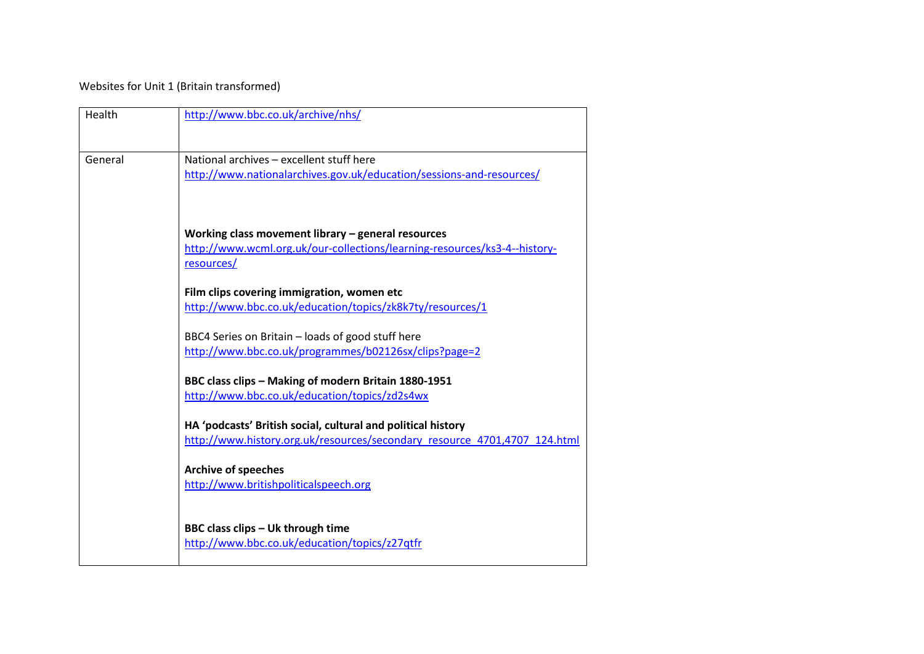Websites for Unit 1 (Britain transformed)

| Health  | http://www.bbc.co.uk/archive/nhs/                                                                                                               |
|---------|-------------------------------------------------------------------------------------------------------------------------------------------------|
| General | National archives - excellent stuff here<br>http://www.nationalarchives.gov.uk/education/sessions-and-resources/                                |
|         | Working class movement library $-$ general resources<br>http://www.wcml.org.uk/our-collections/learning-resources/ks3-4--history-<br>resources/ |
|         | Film clips covering immigration, women etc<br>http://www.bbc.co.uk/education/topics/zk8k7ty/resources/1                                         |
|         | BBC4 Series on Britain - loads of good stuff here<br>http://www.bbc.co.uk/programmes/b02126sx/clips?page=2                                      |
|         | BBC class clips - Making of modern Britain 1880-1951<br>http://www.bbc.co.uk/education/topics/zd2s4wx                                           |
|         | HA 'podcasts' British social, cultural and political history<br>http://www.history.org.uk/resources/secondary resource 4701,4707 124.html       |
|         | <b>Archive of speeches</b><br>http://www.britishpoliticalspeech.org                                                                             |
|         | BBC class clips - Uk through time<br>http://www.bbc.co.uk/education/topics/z27qtfr                                                              |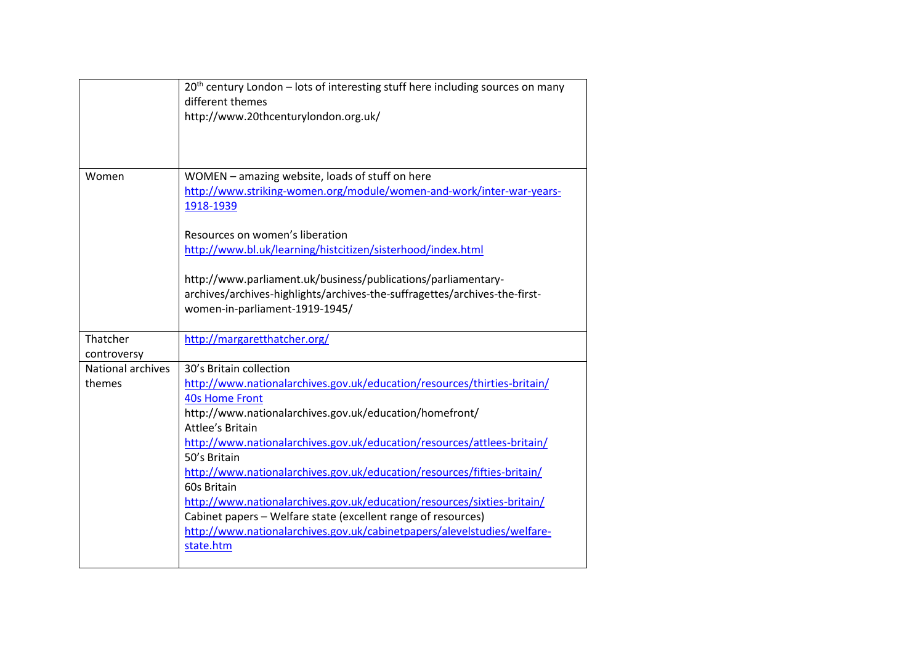|                   | 20 <sup>th</sup> century London - lots of interesting stuff here including sources on many |
|-------------------|--------------------------------------------------------------------------------------------|
|                   | different themes                                                                           |
|                   | http://www.20thcenturylondon.org.uk/                                                       |
|                   |                                                                                            |
|                   |                                                                                            |
|                   |                                                                                            |
| Women             | WOMEN - amazing website, loads of stuff on here                                            |
|                   | http://www.striking-women.org/module/women-and-work/inter-war-years-                       |
|                   | 1918-1939                                                                                  |
|                   |                                                                                            |
|                   | Resources on women's liberation                                                            |
|                   | http://www.bl.uk/learning/histcitizen/sisterhood/index.html                                |
|                   |                                                                                            |
|                   | http://www.parliament.uk/business/publications/parliamentary-                              |
|                   | archives/archives-highlights/archives-the-suffragettes/archives-the-first-                 |
|                   | women-in-parliament-1919-1945/                                                             |
|                   |                                                                                            |
| Thatcher          | http://margaretthatcher.org/                                                               |
| controversy       |                                                                                            |
| National archives | 30's Britain collection                                                                    |
| themes            | http://www.nationalarchives.gov.uk/education/resources/thirties-britain/                   |
|                   | <b>40s Home Front</b>                                                                      |
|                   | http://www.nationalarchives.gov.uk/education/homefront/                                    |
|                   | Attlee's Britain                                                                           |
|                   | http://www.nationalarchives.gov.uk/education/resources/attlees-britain/                    |
|                   | 50's Britain                                                                               |
|                   | http://www.nationalarchives.gov.uk/education/resources/fifties-britain/                    |
|                   | 60s Britain                                                                                |
|                   | http://www.nationalarchives.gov.uk/education/resources/sixties-britain/                    |
|                   | Cabinet papers - Welfare state (excellent range of resources)                              |
|                   | http://www.nationalarchives.gov.uk/cabinetpapers/alevelstudies/welfare-                    |
|                   | state.htm                                                                                  |
|                   |                                                                                            |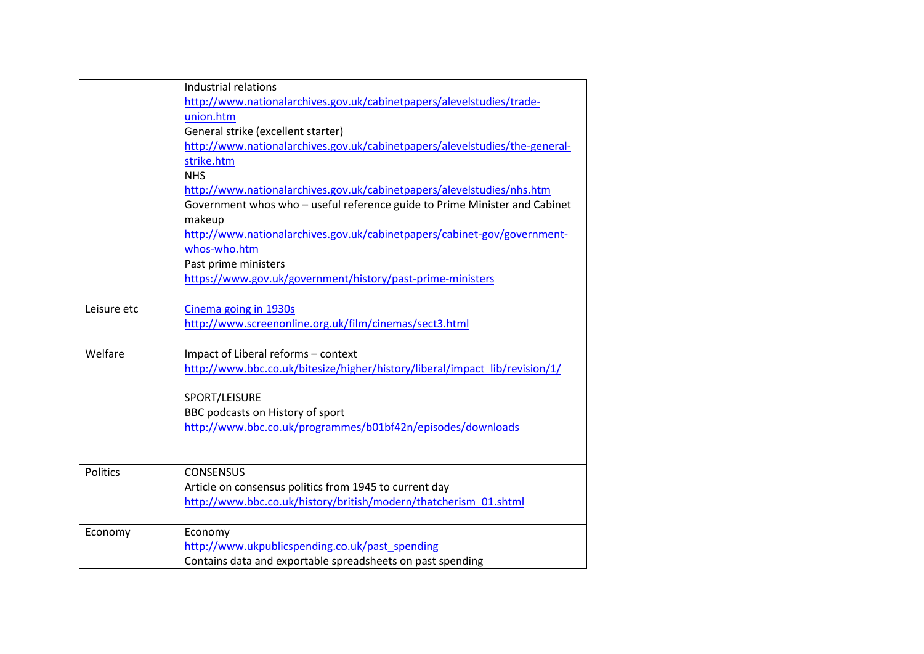|                 | Industrial relations<br>http://www.nationalarchives.gov.uk/cabinetpapers/alevelstudies/trade-<br>union.htm<br>General strike (excellent starter)<br>http://www.nationalarchives.gov.uk/cabinetpapers/alevelstudies/the-general-<br>strike.htm<br><b>NHS</b><br>http://www.nationalarchives.gov.uk/cabinetpapers/alevelstudies/nhs.htm<br>Government whos who - useful reference guide to Prime Minister and Cabinet<br>makeup<br>http://www.nationalarchives.gov.uk/cabinetpapers/cabinet-gov/government- |
|-----------------|-----------------------------------------------------------------------------------------------------------------------------------------------------------------------------------------------------------------------------------------------------------------------------------------------------------------------------------------------------------------------------------------------------------------------------------------------------------------------------------------------------------|
|                 | whos-who.htm<br>Past prime ministers<br>https://www.gov.uk/government/history/past-prime-ministers                                                                                                                                                                                                                                                                                                                                                                                                        |
| Leisure etc     | Cinema going in 1930s<br>http://www.screenonline.org.uk/film/cinemas/sect3.html                                                                                                                                                                                                                                                                                                                                                                                                                           |
| Welfare         | Impact of Liberal reforms - context<br>http://www.bbc.co.uk/bitesize/higher/history/liberal/impact_lib/revision/1/<br>SPORT/LEISURE<br>BBC podcasts on History of sport<br>http://www.bbc.co.uk/programmes/b01bf42n/episodes/downloads                                                                                                                                                                                                                                                                    |
| <b>Politics</b> | <b>CONSENSUS</b><br>Article on consensus politics from 1945 to current day<br>http://www.bbc.co.uk/history/british/modern/thatcherism 01.shtml                                                                                                                                                                                                                                                                                                                                                            |
| Economy         | Economy<br>http://www.ukpublicspending.co.uk/past_spending<br>Contains data and exportable spreadsheets on past spending                                                                                                                                                                                                                                                                                                                                                                                  |